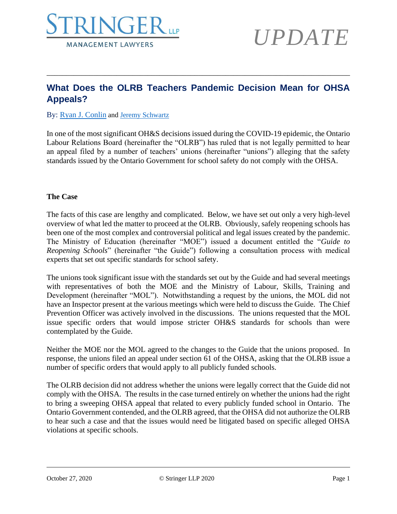

### **What Does the OLRB Teachers Pandemic Decision Mean for OHSA Appeals?**

\_\_\_\_\_\_\_\_\_\_\_\_\_\_\_\_\_\_\_\_\_\_\_\_\_\_\_\_\_\_\_\_\_\_\_\_\_\_\_\_\_\_\_\_\_\_\_\_\_\_\_\_\_\_\_\_\_\_\_\_\_\_\_\_\_\_\_\_\_\_\_\_\_\_\_\_\_\_

#### By: [Ryan J. Conlin](https://www.stringerllp.com/our-team/ryan-j-conlin) and [Jeremy Schwartz](https://www.stringerllp.com/our-team/jeremy-d-schwartz)

In one of the most significant OH&S decisions issued during the COVID-19 epidemic, the Ontario Labour Relations Board (hereinafter the "OLRB") has ruled that is not legally permitted to hear an appeal filed by a number of teachers' unions (hereinafter "unions") alleging that the safety standards issued by the Ontario Government for school safety do not comply with the OHSA.

#### **The Case**

The facts of this case are lengthy and complicated. Below, we have set out only a very high-level overview of what led the matter to proceed at the OLRB. Obviously, safely reopening schools has been one of the most complex and controversial political and legal issues created by the pandemic. The Ministry of Education (hereinafter "MOE") issued a document entitled the "*Guide to Reopening Schools*" (hereinafter "the Guide") following a consultation process with medical experts that set out specific standards for school safety.

The unions took significant issue with the standards set out by the Guide and had several meetings with representatives of both the MOE and the Ministry of Labour, Skills, Training and Development (hereinafter "MOL"). Notwithstanding a request by the unions, the MOL did not have an Inspector present at the various meetings which were held to discuss the Guide. The Chief Prevention Officer was actively involved in the discussions. The unions requested that the MOL issue specific orders that would impose stricter OH&S standards for schools than were contemplated by the Guide.

Neither the MOE nor the MOL agreed to the changes to the Guide that the unions proposed. In response, the unions filed an appeal under section 61 of the OHSA, asking that the OLRB issue a number of specific orders that would apply to all publicly funded schools.

The OLRB decision did not address whether the unions were legally correct that the Guide did not comply with the OHSA. The results in the case turned entirely on whether the unions had the right to bring a sweeping OHSA appeal that related to every publicly funded school in Ontario. The Ontario Government contended, and the OLRB agreed, that the OHSA did not authorize the OLRB to hear such a case and that the issues would need be litigated based on specific alleged OHSA violations at specific schools.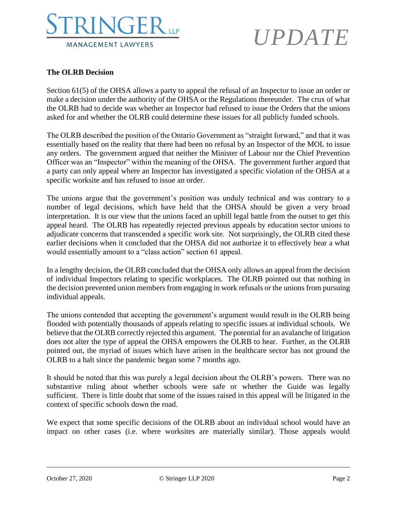

### **The OLRB Decision**

Section 61(5) of the OHSA allows a party to appeal the refusal of an Inspector to issue an order or make a decision under the authority of the OHSA or the Regulations thereunder. The crux of what the OLRB had to decide was whether an Inspector had refused to issue the Orders that the unions asked for and whether the OLRB could determine these issues for all publicly funded schools.

The OLRB described the position of the Ontario Government as "straight forward," and that it was essentially based on the reality that there had been no refusal by an Inspector of the MOL to issue any orders. The government argued that neither the Minister of Labour nor the Chief Prevention Officer was an "Inspector" within the meaning of the OHSA. The government further argued that a party can only appeal where an Inspector has investigated a specific violation of the OHSA at a specific worksite and has refused to issue an order.

The unions argue that the government's position was unduly technical and was contrary to a number of legal decisions, which have held that the OHSA should be given a very broad interpretation. It is our view that the unions faced an uphill legal battle from the outset to get this appeal heard. The OLRB has repeatedly rejected previous appeals by education sector unions to adjudicate concerns that transcended a specific work site. Not surprisingly, the OLRB cited these earlier decisions when it concluded that the OHSA did not authorize it to effectively hear a what would essentially amount to a "class action" section 61 appeal.

In a lengthy decision, the OLRB concluded that the OHSA only allows an appeal from the decision of individual Inspectors relating to specific workplaces. The OLRB pointed out that nothing in the decision prevented union members from engaging in work refusals or the unions from pursuing individual appeals.

The unions contended that accepting the government's argument would result in the OLRB being flooded with potentially thousands of appeals relating to specific issues at individual schools. We believe that the OLRB correctly rejected this argument. The potential for an avalanche of litigation does not alter the type of appeal the OHSA empowers the OLRB to hear. Further, as the OLRB pointed out, the myriad of issues which have arisen in the healthcare sector has not ground the OLRB to a halt since the pandemic began some 7 months ago.

It should be noted that this was purely a legal decision about the OLRB's powers. There was no substantive ruling about whether schools were safe or whether the Guide was legally sufficient. There is little doubt that some of the issues raised in this appeal will be litigated in the context of specific schools down the road.

We expect that some specific decisions of the OLRB about an individual school would have an impact on other cases (i.e. where worksites are materially similar). Those appeals would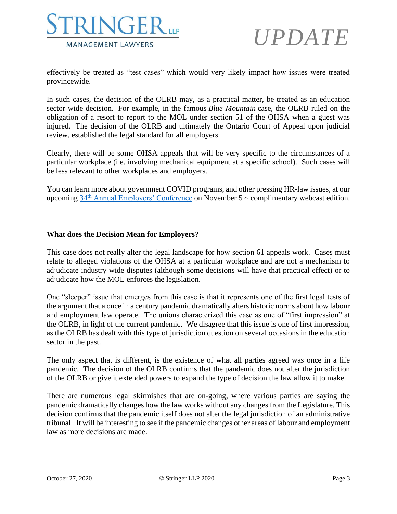

effectively be treated as "test cases" which would very likely impact how issues were treated provincewide.

In such cases, the decision of the OLRB may, as a practical matter, be treated as an education sector wide decision. For example, in the famous *Blue Mountain* case, the OLRB ruled on the obligation of a resort to report to the MOL under section 51 of the OHSA when a guest was injured. The decision of the OLRB and ultimately the Ontario Court of Appeal upon judicial review, established the legal standard for all employers.

Clearly, there will be some OHSA appeals that will be very specific to the circumstances of a particular workplace (i.e. involving mechanical equipment at a specific school). Such cases will be less relevant to other workplaces and employers.

You can learn more about government COVID programs, and other pressing HR-law issues, at our upcoming  $34<sup>th</sup>$  [Annual Employers' Conference](https://www.stringerllp.com/seminars-events/34th-annual-employers-conference-webcast-edition) on November 5  $\sim$  complimentary webcast edition.

#### **What does the Decision Mean for Employers?**

This case does not really alter the legal landscape for how section 61 appeals work. Cases must relate to alleged violations of the OHSA at a particular workplace and are not a mechanism to adjudicate industry wide disputes (although some decisions will have that practical effect) or to adjudicate how the MOL enforces the legislation.

One "sleeper" issue that emerges from this case is that it represents one of the first legal tests of the argument that a once in a century pandemic dramatically alters historic norms about how labour and employment law operate. The unions characterized this case as one of "first impression" at the OLRB, in light of the current pandemic. We disagree that this issue is one of first impression, as the OLRB has dealt with this type of jurisdiction question on several occasions in the education sector in the past.

The only aspect that is different, is the existence of what all parties agreed was once in a life pandemic. The decision of the OLRB confirms that the pandemic does not alter the jurisdiction of the OLRB or give it extended powers to expand the type of decision the law allow it to make.

There are numerous legal skirmishes that are on-going, where various parties are saying the pandemic dramatically changes how the law works without any changes from the Legislature. This decision confirms that the pandemic itself does not alter the legal jurisdiction of an administrative tribunal. It will be interesting to see if the pandemic changes other areas of labour and employment law as more decisions are made.